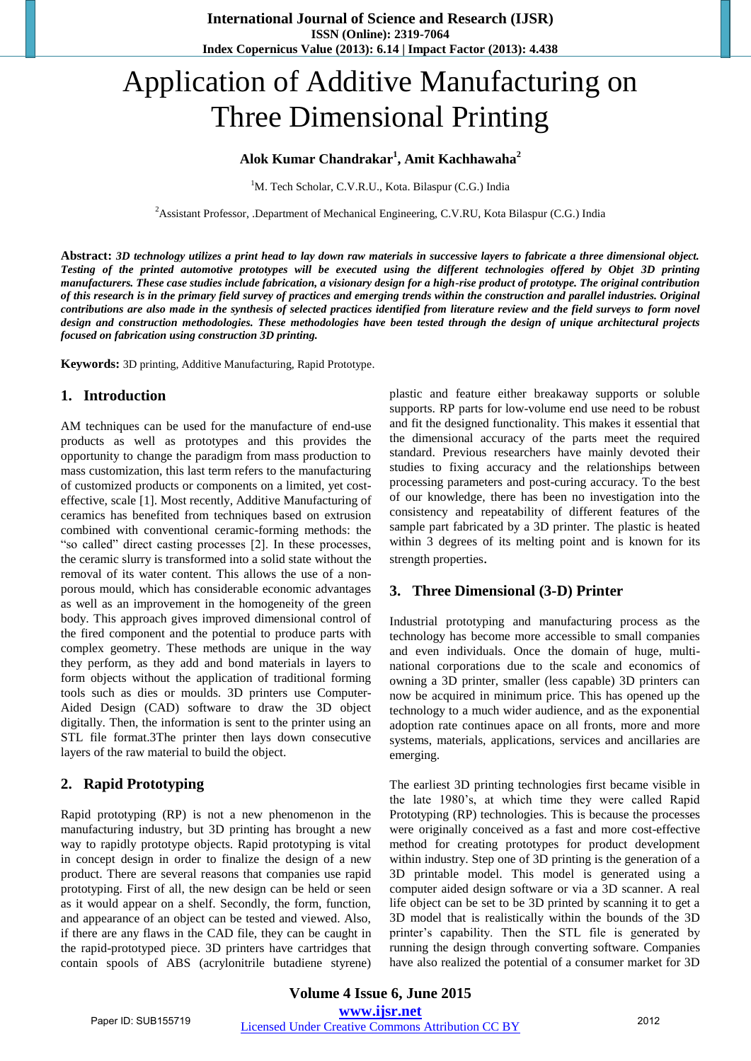# Application of Additive Manufacturing on Three Dimensional Printing

#### **Alok Kumar Chandrakar<sup>1</sup> , Amit Kachhawaha<sup>2</sup>**

<sup>1</sup>M. Tech Scholar, C.V.R.U., Kota. Bilaspur (C.G.) India

<sup>2</sup> Assistant Professor, .Department of Mechanical Engineering, C.V.RU, Kota Bilaspur (C.G.) India

**Abstract:** *3D technology utilizes a print head to lay down raw materials in successive layers to fabricate a three dimensional object. Testing of the printed automotive prototypes will be executed using the different technologies offered by Objet 3D printing manufacturers. These case studies include fabrication, a visionary design for a high-rise product of prototype. The original contribution of this research is in the primary field survey of practices and emerging trends within the construction and parallel industries. Original contributions are also made in the synthesis of selected practices identified from literature review and the field surveys to form novel design and construction methodologies. These methodologies have been tested through the design of unique architectural projects focused on fabrication using construction 3D printing.*

**Keywords:** 3D printing, Additive Manufacturing, Rapid Prototype.

#### **1. Introduction**

AM techniques can be used for the manufacture of end-use products as well as prototypes and this provides the opportunity to change the paradigm from mass production to mass customization, this last term refers to the manufacturing of customized products or components on a limited, yet costeffective, scale [1]. Most recently, Additive Manufacturing of ceramics has benefited from techniques based on extrusion combined with conventional ceramic-forming methods: the "so called" direct casting processes [2]. In these processes, the ceramic slurry is transformed into a solid state without the removal of its water content. This allows the use of a nonporous mould, which has considerable economic advantages as well as an improvement in the homogeneity of the green body. This approach gives improved dimensional control of the fired component and the potential to produce parts with complex geometry. These methods are unique in the way they perform, as they add and bond materials in layers to form objects without the application of traditional forming tools such as dies or moulds. 3D printers use Computer-Aided Design (CAD) software to draw the 3D object digitally. Then, the information is sent to the printer using an STL file format.3The printer then lays down consecutive layers of the raw material to build the object.

#### **2. Rapid Prototyping**

Rapid prototyping (RP) is not a new phenomenon in the manufacturing industry, but 3D printing has brought a new way to rapidly prototype objects. Rapid prototyping is vital in concept design in order to finalize the design of a new product. There are several reasons that companies use rapid prototyping. First of all, the new design can be held or seen as it would appear on a shelf. Secondly, the form, function, and appearance of an object can be tested and viewed. Also, if there are any flaws in the CAD file, they can be caught in the rapid-prototyped piece. 3D printers have cartridges that contain spools of ABS (acrylonitrile butadiene styrene)

plastic and feature either breakaway supports or soluble supports. RP parts for low-volume end use need to be robust and fit the designed functionality. This makes it essential that the dimensional accuracy of the parts meet the required standard. Previous researchers have mainly devoted their studies to fixing accuracy and the relationships between processing parameters and post-curing accuracy. To the best of our knowledge, there has been no investigation into the consistency and repeatability of different features of the sample part fabricated by a 3D printer. The plastic is heated within 3 degrees of its melting point and is known for its strength properties.

#### **3. Three Dimensional (3-D) Printer**

Industrial prototyping and manufacturing process as the technology has become more accessible to small companies and even individuals. Once the domain of huge, multinational corporations due to the scale and economics of owning a 3D printer, smaller (less capable) 3D printers can now be acquired in minimum price. This has opened up the technology to a much wider audience, and as the exponential adoption rate continues apace on all fronts, more and more systems, materials, applications, services and ancillaries are emerging.

The earliest 3D printing technologies first became visible in the late 1980"s, at which time they were called Rapid Prototyping (RP) technologies. This is because the processes were originally conceived as a fast and more cost-effective method for creating prototypes for product development within industry. Step one of 3D printing is the generation of a 3D printable model. This model is generated using a computer aided design software or via a 3D scanner. A real life object can be set to be 3D printed by scanning it to get a 3D model that is realistically within the bounds of the 3D printer"s capability. Then the STL file is generated by running the design through converting software. Companies have also realized the potential of a consumer market for 3D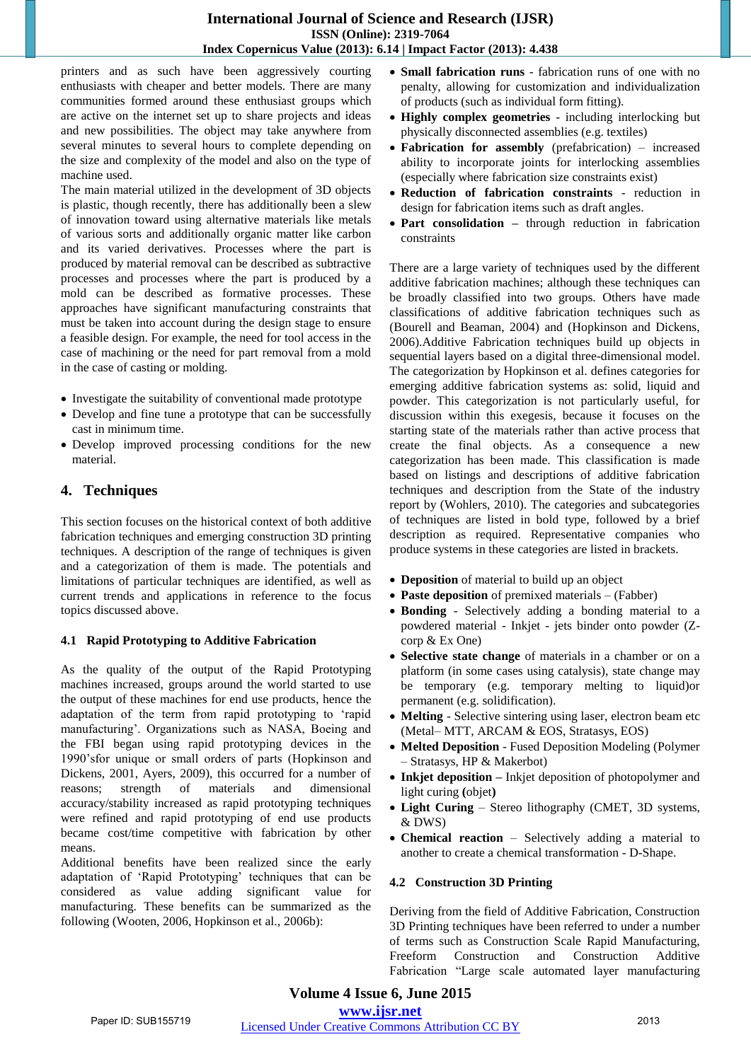printers and as such have been aggressively courting enthusiasts with cheaper and better models. There are many communities formed around these enthusiast groups which are active on the internet set up to share projects and ideas and new possibilities. The object may take anywhere from several minutes to several hours to complete depending on the size and complexity of the model and also on the type of machine used.

The main material utilized in the development of 3D objects is plastic, though recently, there has additionally been a slew of innovation toward using alternative materials like metals of various sorts and additionally organic matter like carbon and its varied derivatives. Processes where the part is produced by material removal can be described as subtractive processes and processes where the part is produced by a mold can be described as formative processes. These approaches have significant manufacturing constraints that must be taken into account during the design stage to ensure a feasible design. For example, the need for tool access in the case of machining or the need for part removal from a mold in the case of casting or molding.

- Investigate the suitability of conventional made prototype
- Develop and fine tune a prototype that can be successfully cast in minimum time.
- Develop improved processing conditions for the new material.

## **4. Techniques**

This section focuses on the historical context of both additive fabrication techniques and emerging construction 3D printing techniques. A description of the range of techniques is given and a categorization of them is made. The potentials and limitations of particular techniques are identified, as well as current trends and applications in reference to the focus topics discussed above.

#### **4.1 Rapid Prototyping to Additive Fabrication**

As the quality of the output of the Rapid Prototyping machines increased, groups around the world started to use the output of these machines for end use products, hence the adaptation of the term from rapid prototyping to "rapid manufacturing". Organizations such as NASA, Boeing and the FBI began using rapid prototyping devices in the 1990"sfor unique or small orders of parts (Hopkinson and Dickens, 2001, Ayers, 2009), this occurred for a number of reasons; strength of materials and dimensional accuracy/stability increased as rapid prototyping techniques were refined and rapid prototyping of end use products became cost/time competitive with fabrication by other means.

Additional benefits have been realized since the early adaptation of "Rapid Prototyping" techniques that can be considered as value adding significant value for manufacturing. These benefits can be summarized as the following (Wooten, 2006, Hopkinson et al., 2006b):

- **Small fabrication runs**  fabrication runs of one with no penalty, allowing for customization and individualization of products (such as individual form fitting).
- **Highly complex geometries**  including interlocking but physically disconnected assemblies (e.g. textiles)
- **Fabrication for assembly** (prefabrication) increased ability to incorporate joints for interlocking assemblies (especially where fabrication size constraints exist)
- **Reduction of fabrication constraints**  reduction in design for fabrication items such as draft angles.
- **Part consolidation –** through reduction in fabrication constraints

There are a large variety of techniques used by the different additive fabrication machines; although these techniques can be broadly classified into two groups. Others have made classifications of additive fabrication techniques such as (Bourell and Beaman, 2004) and (Hopkinson and Dickens, 2006).Additive Fabrication techniques build up objects in sequential layers based on a digital three-dimensional model. The categorization by Hopkinson et al. defines categories for emerging additive fabrication systems as: solid, liquid and powder. This categorization is not particularly useful, for discussion within this exegesis, because it focuses on the starting state of the materials rather than active process that create the final objects. As a consequence a new categorization has been made. This classification is made based on listings and descriptions of additive fabrication techniques and description from the State of the industry report by (Wohlers, 2010). The categories and subcategories of techniques are listed in bold type, followed by a brief description as required. Representative companies who produce systems in these categories are listed in brackets.

- **Deposition** of material to build up an object
- **Paste deposition** of premixed materials (Fabber)
- **Bonding**  Selectively adding a bonding material to a powdered material - Inkjet - jets binder onto powder (Zcorp & Ex One)
- **Selective state change** of materials in a chamber or on a platform (in some cases using catalysis), state change may be temporary (e.g. temporary melting to liquid)or permanent (e.g. solidification).
- **Melting**  Selective sintering using laser, electron beam etc (Metal– MTT, ARCAM & EOS, Stratasys, EOS)
- **Melted Deposition**  Fused Deposition Modeling (Polymer – Stratasys, HP & Makerbot)
- **Inkjet deposition –** Inkjet deposition of photopolymer and light curing **(**objet**)**
- **Light Curing**  Stereo lithography (CMET, 3D systems, & DWS)
- **Chemical reaction** Selectively adding a material to another to create a chemical transformation - D-Shape.

#### **4.2 Construction 3D Printing**

Deriving from the field of Additive Fabrication, Construction 3D Printing techniques have been referred to under a number of terms such as Construction Scale Rapid Manufacturing, Freeform Construction and Construction Additive Fabrication "Large scale automated layer manufacturing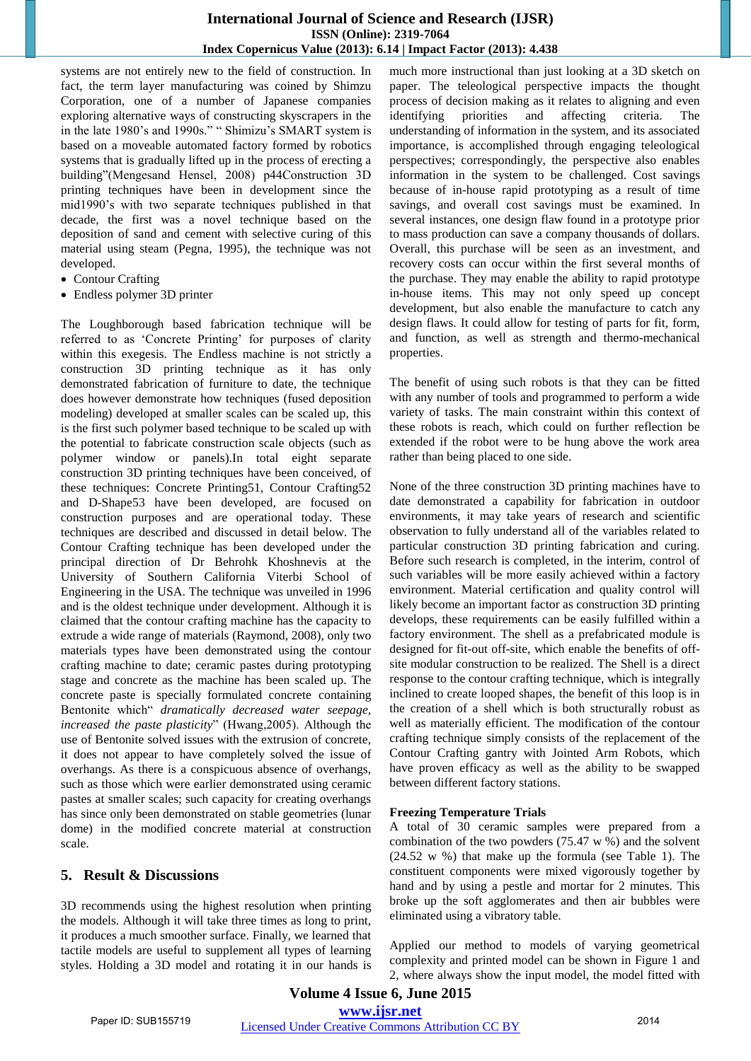#### **International Journal of Science and Research (IJSR) ISSN (Online): 2319-7064 Index Copernicus Value (2013): 6.14 | Impact Factor (2013): 4.438**

systems are not entirely new to the field of construction. In fact, the term layer manufacturing was coined by Shimzu Corporation, one of a number of Japanese companies exploring alternative ways of constructing skyscrapers in the in the late 1980's and 1990s." " Shimizu's SMART system is based on a moveable automated factory formed by robotics systems that is gradually lifted up in the process of erecting a building"(Mengesand Hensel, 2008) p44Construction 3D printing techniques have been in development since the mid1990"s with two separate techniques published in that decade, the first was a novel technique based on the deposition of sand and cement with selective curing of this material using steam (Pegna, 1995), the technique was not developed.

- Contour Crafting
- Endless polymer 3D printer

The Loughborough based fabrication technique will be referred to as 'Concrete Printing' for purposes of clarity within this exegesis. The Endless machine is not strictly a construction 3D printing technique as it has only demonstrated fabrication of furniture to date, the technique does however demonstrate how techniques (fused deposition modeling) developed at smaller scales can be scaled up, this is the first such polymer based technique to be scaled up with the potential to fabricate construction scale objects (such as polymer window or panels).In total eight separate construction 3D printing techniques have been conceived, of these techniques: Concrete Printing51, Contour Crafting52 and D-Shape53 have been developed, are focused on construction purposes and are operational today. These techniques are described and discussed in detail below. The Contour Crafting technique has been developed under the principal direction of Dr Behrohk Khoshnevis at the University of Southern California Viterbi School of Engineering in the USA. The technique was unveiled in 1996 and is the oldest technique under development. Although it is claimed that the contour crafting machine has the capacity to extrude a wide range of materials (Raymond, 2008), only two materials types have been demonstrated using the contour crafting machine to date; ceramic pastes during prototyping stage and concrete as the machine has been scaled up. The concrete paste is specially formulated concrete containing Bentonite which" *dramatically decreased water seepage, increased the paste plasticity*" (Hwang,2005). Although the use of Bentonite solved issues with the extrusion of concrete, it does not appear to have completely solved the issue of overhangs. As there is a conspicuous absence of overhangs, such as those which were earlier demonstrated using ceramic pastes at smaller scales; such capacity for creating overhangs has since only been demonstrated on stable geometries (lunar dome) in the modified concrete material at construction scale.

## **5. Result & Discussions**

3D recommends using the highest resolution when printing the models. Although it will take three times as long to print, it produces a much smoother surface. Finally, we learned that tactile models are useful to supplement all types of learning styles. Holding a 3D model and rotating it in our hands is

much more instructional than just looking at a 3D sketch on paper. The teleological perspective impacts the thought process of decision making as it relates to aligning and even identifying priorities and affecting criteria. The understanding of information in the system, and its associated importance, is accomplished through engaging teleological perspectives; correspondingly, the perspective also enables information in the system to be challenged. Cost savings because of in-house rapid prototyping as a result of time savings, and overall cost savings must be examined. In several instances, one design flaw found in a prototype prior to mass production can save a company thousands of dollars. Overall, this purchase will be seen as an investment, and recovery costs can occur within the first several months of the purchase. They may enable the ability to rapid prototype in-house items. This may not only speed up concept development, but also enable the manufacture to catch any design flaws. It could allow for testing of parts for fit, form, and function, as well as strength and thermo-mechanical properties.

The benefit of using such robots is that they can be fitted with any number of tools and programmed to perform a wide variety of tasks. The main constraint within this context of these robots is reach, which could on further reflection be extended if the robot were to be hung above the work area rather than being placed to one side.

None of the three construction 3D printing machines have to date demonstrated a capability for fabrication in outdoor environments, it may take years of research and scientific observation to fully understand all of the variables related to particular construction 3D printing fabrication and curing. Before such research is completed, in the interim, control of such variables will be more easily achieved within a factory environment. Material certification and quality control will likely become an important factor as construction 3D printing develops, these requirements can be easily fulfilled within a factory environment. The shell as a prefabricated module is designed for fit-out off-site, which enable the benefits of offsite modular construction to be realized. The Shell is a direct response to the contour crafting technique, which is integrally inclined to create looped shapes, the benefit of this loop is in the creation of a shell which is both structurally robust as well as materially efficient. The modification of the contour crafting technique simply consists of the replacement of the Contour Crafting gantry with Jointed Arm Robots, which have proven efficacy as well as the ability to be swapped between different factory stations.

#### **Freezing Temperature Trials**

A total of 30 ceramic samples were prepared from a combination of the two powders (75.47 w %) and the solvent (24.52 w %) that make up the formula (see Table 1). The constituent components were mixed vigorously together by hand and by using a pestle and mortar for 2 minutes. This broke up the soft agglomerates and then air bubbles were eliminated using a vibratory table.

Applied our method to models of varying geometrical complexity and printed model can be shown in Figure 1 and 2, where always show the input model, the model fitted with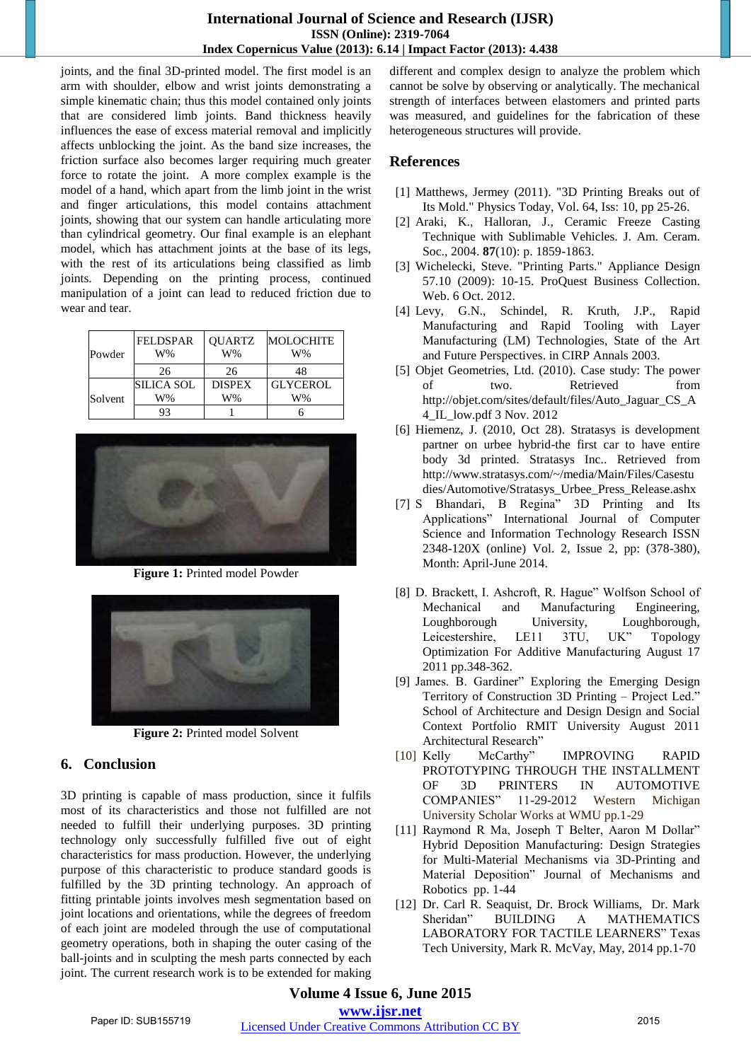#### **International Journal of Science and Research (IJSR) ISSN (Online): 2319-7064 Index Copernicus Value (2013): 6.14 | Impact Factor (2013): 4.438**

joints, and the final 3D-printed model. The first model is an arm with shoulder, elbow and wrist joints demonstrating a simple kinematic chain; thus this model contained only joints that are considered limb joints. Band thickness heavily influences the ease of excess material removal and implicitly affects unblocking the joint. As the band size increases, the friction surface also becomes larger requiring much greater force to rotate the joint. A more complex example is the model of a hand, which apart from the limb joint in the wrist and finger articulations, this model contains attachment joints, showing that our system can handle articulating more than cylindrical geometry. Our final example is an elephant model, which has attachment joints at the base of its legs, with the rest of its articulations being classified as limb joints. Depending on the printing process, continued manipulation of a joint can lead to reduced friction due to wear and tear.

| Powder  | <b>FELDSPAR</b><br>W% | <b>QUARTZ</b><br>$W\%$ | <b>MOLOCHITE</b><br>W% |
|---------|-----------------------|------------------------|------------------------|
|         | 26                    | 26                     | 48                     |
| Solvent | SILICA SOL            | <b>DISPEX</b>          | <b>GLYCEROL</b>        |
|         | W%                    | W%                     | W%                     |
|         | 93                    |                        |                        |



**Figure 1:** Printed model Powder



**Figure 2:** Printed model Solvent

# **6. Conclusion**

3D printing is capable of mass production, since it fulfils most of its characteristics and those not fulfilled are not needed to fulfill their underlying purposes. 3D printing technology only successfully fulfilled five out of eight characteristics for mass production. However, the underlying purpose of this characteristic to produce standard goods is fulfilled by the 3D printing technology. An approach of fitting printable joints involves mesh segmentation based on joint locations and orientations, while the degrees of freedom of each joint are modeled through the use of computational geometry operations, both in shaping the outer casing of the ball-joints and in sculpting the mesh parts connected by each joint. The current research work is to be extended for making different and complex design to analyze the problem which cannot be solve by observing or analytically. The mechanical strength of interfaces between elastomers and printed parts was measured, and guidelines for the fabrication of these heterogeneous structures will provide.

# **References**

- [1] Matthews, Jermey (2011). "3D Printing Breaks out of Its Mold." Physics Today, Vol. 64, Iss: 10, pp 25-26.
- [2] Araki, K., Halloran, J., Ceramic Freeze Casting Technique with Sublimable Vehicles. J. Am. Ceram. Soc., 2004. **87**(10): p. 1859-1863.
- [3] Wichelecki, Steve. "Printing Parts." Appliance Design 57.10 (2009): 10-15. ProQuest Business Collection. Web. 6 Oct. 2012.
- [4] Levy, G.N., Schindel, R. Kruth, J.P., Rapid Manufacturing and Rapid Tooling with Layer Manufacturing (LM) Technologies, State of the Art and Future Perspectives. in CIRP Annals 2003.
- [5] Objet Geometries, Ltd. (2010). Case study: The power of two. Retrieved from http://objet.com/sites/default/files/Auto\_Jaguar\_CS\_A 4\_IL\_low.pdf 3 Nov. 2012
- [6] Hiemenz, J. (2010, Oct 28). Stratasys is development partner on urbee hybrid-the first car to have entire body 3d printed. Stratasys Inc.. Retrieved from http://www.stratasys.com/~/media/Main/Files/Casestu dies/Automotive/Stratasys\_Urbee\_Press\_Release.ashx
- [7] S Bhandari, B Regina" 3D Printing and Its Applications" International Journal of Computer Science and Information Technology Research ISSN 2348-120X (online) Vol. 2, Issue 2, pp: (378-380), Month: April-June 2014.
- [8] D. Brackett, I. Ashcroft, R. Hague" Wolfson School of Mechanical and Manufacturing Engineering, Loughborough University, Loughborough, Leicestershire, LE11 3TU, UK" Topology Optimization For Additive Manufacturing August 17 2011 pp.348-362.
- [9] James. B. Gardiner" Exploring the Emerging Design Territory of Construction 3D Printing – Project Led." School of Architecture and Design Design and Social Context Portfolio RMIT University August 2011 Architectural Research"
- [10] Kelly McCarthy" IMPROVING RAPID PROTOTYPING THROUGH THE INSTALLMENT OF 3D PRINTERS IN AUTOMOTIVE COMPANIES" 11-29-2012 Western Michigan University Scholar Works at WMU pp.1-29
- [11] Raymond R Ma, Joseph T Belter, Aaron M Dollar" Hybrid Deposition Manufacturing: Design Strategies for Multi-Material Mechanisms via 3D-Printing and Material Deposition" Journal of Mechanisms and Robotics pp. 1-44
- [12] Dr. Carl R. Seaquist, Dr. Brock Williams, Dr. Mark Sheridan" BUILDING A MATHEMATICS LABORATORY FOR TACTILE LEARNERS" Texas Tech University, Mark R. McVay, May, 2014 pp.1-70